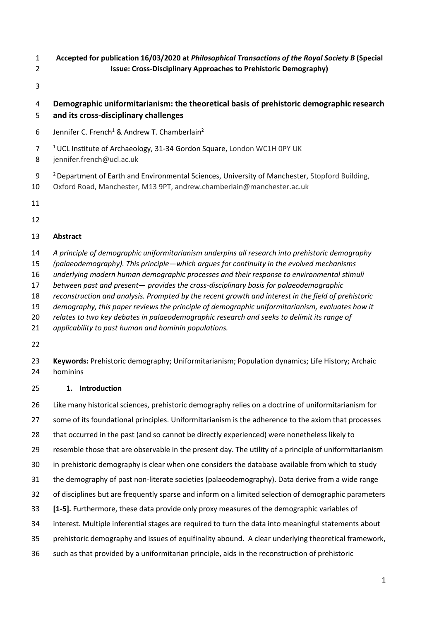- **Accepted for publication 16/03/2020 at** *Philosophical Transactions of the Royal Society B* **(Special Issue: Cross-Disciplinary Approaches to Prehistoric Demography)**
- 

# **Demographic uniformitarianism: the theoretical basis of prehistoric demographic research and its cross-disciplinary challenges**

- 6 Jennifer C. French<sup>1</sup> & Andrew T. Chamberlain<sup>2</sup>
- <sup>1</sup> UCL Institute of Archaeology, 31-34 Gordon Square, London WC1H 0PY UK
- jennifer.french@ucl.ac.uk
- 2 Department of Earth and Environmental Sciences, University of Manchester, Stopford Building,
- Oxford Road, Manchester, M13 9PT, andrew.chamberlain@manchester.ac.uk
- 
- 

## **Abstract**

- *A principle of demographic uniformitarianism underpins all research into prehistoric demography*
- *(palaeodemography). This principle*—*which argues for continuity in the evolved mechanisms*
- *underlying modern human demographic processes and their response to environmental stimuli*
- *between past and present provides the cross-disciplinary basis for palaeodemographic*
- *reconstruction and analysis. Prompted by the recent growth and interest in the field of prehistoric*
- *demography, this paper reviews the principle of demographic uniformitarianism, evaluates how it*
- *relates to two key debates in palaeodemographic research and seeks to delimit its range of*
- *applicability to past human and hominin populations.*
- 
- **Keywords:** Prehistoric demography; Uniformitarianism; Population dynamics; Life History; Archaic hominins

## **1. Introduction**

- Like many historical sciences, prehistoric demography relies on a doctrine of uniformitarianism for
- some of its foundational principles. Uniformitarianism is the adherence to the axiom that processes
- that occurred in the past (and so cannot be directly experienced) were nonetheless likely to
- resemble those that are observable in the present day. The utility of a principle of uniformitarianism
- in prehistoric demography is clear when one considers the database available from which to study
- the demography of past non-literate societies (palaeodemography). Data derive from a wide range
- of disciplines but are frequently sparse and inform on a limited selection of demographic parameters
- **[1-5].** Furthermore, these data provide only proxy measures of the demographic variables of
- interest. Multiple inferential stages are required to turn the data into meaningful statements about
- prehistoric demography and issues of equifinality abound. A clear underlying theoretical framework,
- such as that provided by a uniformitarian principle, aids in the reconstruction of prehistoric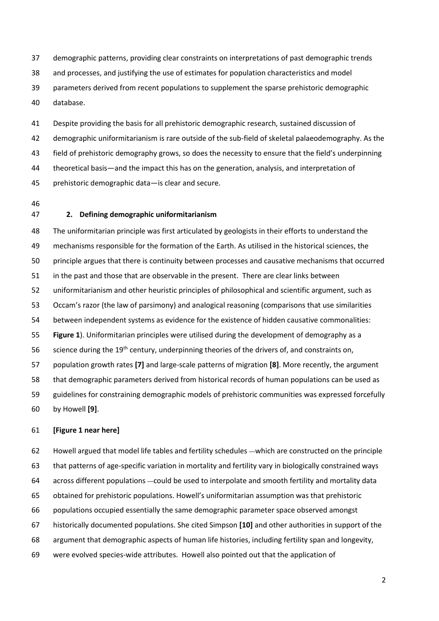demographic patterns, providing clear constraints on interpretations of past demographic trends and processes, and justifying the use of estimates for population characteristics and model parameters derived from recent populations to supplement the sparse prehistoric demographic database.

 Despite providing the basis for all prehistoric demographic research, sustained discussion of demographic uniformitarianism is rare outside of the sub-field of skeletal palaeodemography. As the field of prehistoric demography grows, so does the necessity to ensure that the field's underpinning theoretical basis—and the impact this has on the generation, analysis, and interpretation of prehistoric demographic data—is clear and secure.

### **2. Defining demographic uniformitarianism**

 The uniformitarian principle was first articulated by geologists in their efforts to understand the mechanisms responsible for the formation of the Earth. As utilised in the historical sciences, the principle argues that there is continuity between processes and causative mechanisms that occurred in the past and those that are observable in the present. There are clear links between uniformitarianism and other heuristic principles of philosophical and scientific argument, such as Occam's razor (the law of parsimony) and analogical reasoning (comparisons that use similarities between independent systems as evidence for the existence of hidden causative commonalities: **Figure 1**). Uniformitarian principles were utilised during the development of demography as a 56 science during the  $19<sup>th</sup>$  century, underpinning theories of the drivers of, and constraints on, population growth rates **[7]** and large-scale patterns of migration **[8]**. More recently, the argument that demographic parameters derived from historical records of human populations can be used as guidelines for constraining demographic models of prehistoric communities was expressed forcefully by Howell **[9]**.

### **[Figure 1 near here]**

 Howell argued that model life tables and fertility schedules ―which are constructed on the principle that patterns of age-specific variation in mortality and fertility vary in biologically constrained ways across different populations ―could be used to interpolate and smooth fertility and mortality data obtained for prehistoric populations. Howell's uniformitarian assumption was that prehistoric populations occupied essentially the same demographic parameter space observed amongst historically documented populations. She cited Simpson **[10]** and other authorities in support of the argument that demographic aspects of human life histories, including fertility span and longevity, were evolved species-wide attributes. Howell also pointed out that the application of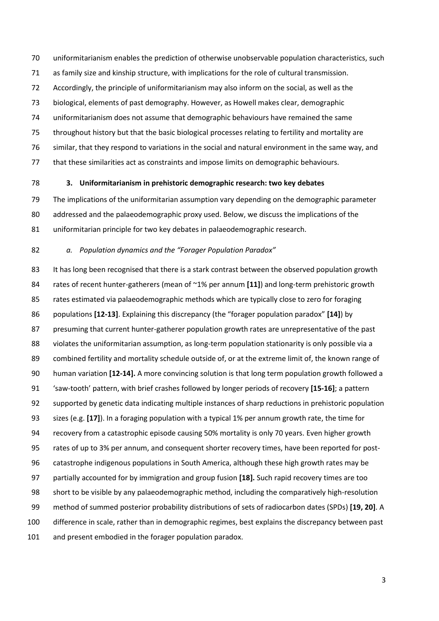uniformitarianism enables the prediction of otherwise unobservable population characteristics, such as family size and kinship structure, with implications for the role of cultural transmission. Accordingly, the principle of uniformitarianism may also inform on the social, as well as the biological, elements of past demography. However, as Howell makes clear, demographic uniformitarianism does not assume that demographic behaviours have remained the same throughout history but that the basic biological processes relating to fertility and mortality are similar, that they respond to variations in the social and natural environment in the same way, and that these similarities act as constraints and impose limits on demographic behaviours.

### **3. Uniformitarianism in prehistoric demographic research: two key debates**

 The implications of the uniformitarian assumption vary depending on the demographic parameter addressed and the palaeodemographic proxy used. Below, we discuss the implications of the uniformitarian principle for two key debates in palaeodemographic research.

### *a. Population dynamics and the "Forager Population Paradox"*

83 It has long been recognised that there is a stark contrast between the observed population growth rates of recent hunter-gatherers (mean of ~1% per annum **[11]**) and long-term prehistoric growth rates estimated via palaeodemographic methods which are typically close to zero for foraging populations **[12-13]**. Explaining this discrepancy (the "forager population paradox" **[14]**) by presuming that current hunter-gatherer population growth rates are unrepresentative of the past violates the uniformitarian assumption, as long-term population stationarity is only possible via a combined fertility and mortality schedule outside of, or at the extreme limit of, the known range of human variation **[12-14].** A more convincing solution is that long term population growth followed a 'saw-tooth' pattern, with brief crashes followed by longer periods of recovery **[15-16]**; a pattern supported by genetic data indicating multiple instances of sharp reductions in prehistoric population sizes (e.g. **[17]**). In a foraging population with a typical 1% per annum growth rate, the time for recovery from a catastrophic episode causing 50% mortality is only 70 years. Even higher growth rates of up to 3% per annum, and consequent shorter recovery times, have been reported for post- catastrophe indigenous populations in South America, although these high growth rates may be partially accounted for by immigration and group fusion **[18].** Such rapid recovery times are too short to be visible by any palaeodemographic method, including the comparatively high-resolution method of summed posterior probability distributions of sets of radiocarbon dates (SPDs) **[19, 20]**. A difference in scale, rather than in demographic regimes, best explains the discrepancy between past and present embodied in the forager population paradox.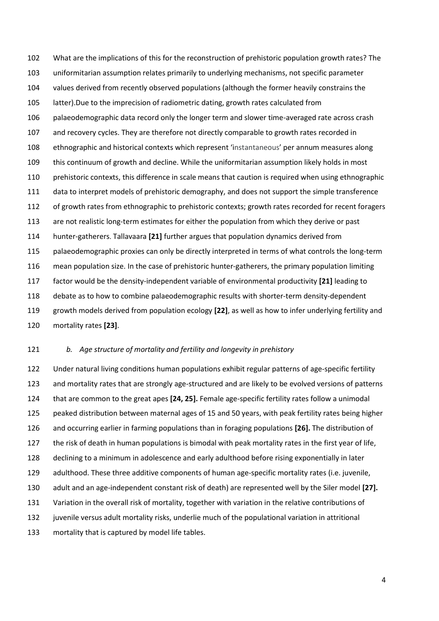What are the implications of this for the reconstruction of prehistoric population growth rates? The uniformitarian assumption relates primarily to underlying mechanisms, not specific parameter values derived from recently observed populations (although the former heavily constrains the latter).Due to the imprecision of radiometric dating, growth rates calculated from palaeodemographic data record only the longer term and slower time-averaged rate across crash and recovery cycles. They are therefore not directly comparable to growth rates recorded in ethnographic and historical contexts which represent 'instantaneous' per annum measures along this continuum of growth and decline. While the uniformitarian assumption likely holds in most 110 prehistoric contexts, this difference in scale means that caution is required when using ethnographic data to interpret models of prehistoric demography, and does not support the simple transference 112 of growth rates from ethnographic to prehistoric contexts; growth rates recorded for recent foragers 113 are not realistic long-term estimates for either the population from which they derive or past hunter-gatherers. Tallavaara **[21]** further argues that population dynamics derived from palaeodemographic proxies can only be directly interpreted in terms of what controls the long-term mean population size. In the case of prehistoric hunter-gatherers, the primary population limiting factor would be the density-independent variable of environmental productivity **[21]** leading to debate as to how to combine palaeodemographic results with shorter-term density-dependent growth models derived from population ecology **[22]**, as well as how to infer underlying fertility and mortality rates **[23]**.

### *b. Age structure of mortality and fertility and longevity in prehistory*

 Under natural living conditions human populations exhibit regular patterns of age-specific fertility 123 and mortality rates that are strongly age-structured and are likely to be evolved versions of patterns that are common to the great apes **[24, 25].** Female age-specific fertility rates follow a unimodal peaked distribution between maternal ages of 15 and 50 years, with peak fertility rates being higher and occurring earlier in farming populations than in foraging populations **[26].** The distribution of the risk of death in human populations is bimodal with peak mortality rates in the first year of life, declining to a minimum in adolescence and early adulthood before rising exponentially in later adulthood. These three additive components of human age-specific mortality rates (i.e. juvenile, adult and an age-independent constant risk of death) are represented well by the Siler model **[27].** Variation in the overall risk of mortality, together with variation in the relative contributions of juvenile versus adult mortality risks, underlie much of the populational variation in attritional mortality that is captured by model life tables.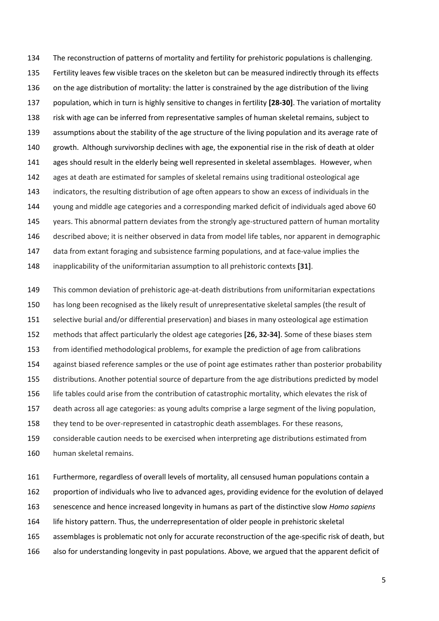The reconstruction of patterns of mortality and fertility for prehistoric populations is challenging. Fertility leaves few visible traces on the skeleton but can be measured indirectly through its effects 136 on the age distribution of mortality: the latter is constrained by the age distribution of the living population, which in turn is highly sensitive to changes in fertility **[28-30]**. The variation of mortality risk with age can be inferred from representative samples of human skeletal remains, subject to assumptions about the stability of the age structure of the living population and its average rate of growth. Although survivorship declines with age, the exponential rise in the risk of death at older 141 ages should result in the elderly being well represented in skeletal assemblages. However, when ages at death are estimated for samples of skeletal remains using traditional osteological age indicators, the resulting distribution of age often appears to show an excess of individuals in the young and middle age categories and a corresponding marked deficit of individuals aged above 60 145 years. This abnormal pattern deviates from the strongly age-structured pattern of human mortality described above; it is neither observed in data from model life tables, nor apparent in demographic data from extant foraging and subsistence farming populations, and at face-value implies the inapplicability of the uniformitarian assumption to all prehistoric contexts **[31]**.

 This common deviation of prehistoric age-at-death distributions from uniformitarian expectations has long been recognised as the likely result of unrepresentative skeletal samples (the result of selective burial and/or differential preservation) and biases in many osteological age estimation methods that affect particularly the oldest age categories **[26, 32-34]**. Some of these biases stem from identified methodological problems, for example the prediction of age from calibrations 154 against biased reference samples or the use of point age estimates rather than posterior probability distributions. Another potential source of departure from the age distributions predicted by model life tables could arise from the contribution of catastrophic mortality, which elevates the risk of death across all age categories: as young adults comprise a large segment of the living population, they tend to be over-represented in catastrophic death assemblages. For these reasons, considerable caution needs to be exercised when interpreting age distributions estimated from

human skeletal remains.

 Furthermore, regardless of overall levels of mortality, all censused human populations contain a proportion of individuals who live to advanced ages, providing evidence for the evolution of delayed senescence and hence increased longevity in humans as part of the distinctive slow *Homo sapiens* life history pattern. Thus, the underrepresentation of older people in prehistoric skeletal assemblages is problematic not only for accurate reconstruction of the age-specific risk of death, but also for understanding longevity in past populations. Above, we argued that the apparent deficit of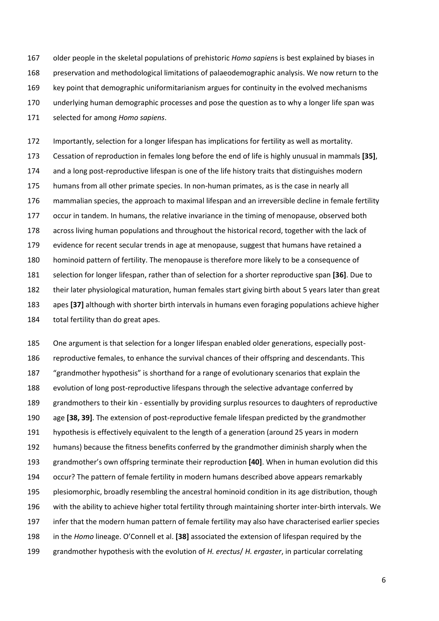older people in the skeletal populations of prehistoric *Homo sapien*s is best explained by biases in preservation and methodological limitations of palaeodemographic analysis. We now return to the key point that demographic uniformitarianism argues for continuity in the evolved mechanisms underlying human demographic processes and pose the question as to why a longer life span was selected for among *Homo sapiens*.

 Importantly, selection for a longer lifespan has implications for fertility as well as mortality. Cessation of reproduction in females long before the end of life is highly unusual in mammals **[35]**, and a long post-reproductive lifespan is one of the life history traits that distinguishes modern humans from all other primate species. In non-human primates, as is the case in nearly all mammalian species, the approach to maximal lifespan and an irreversible decline in female fertility occur in tandem. In humans, the relative invariance in the timing of menopause, observed both 178 across living human populations and throughout the historical record, together with the lack of evidence for recent secular trends in age at menopause, suggest that humans have retained a hominoid pattern of fertility. The menopause is therefore more likely to be a consequence of selection for longer lifespan, rather than of selection for a shorter reproductive span **[36]**. Due to their later physiological maturation, human females start giving birth about 5 years later than great apes **[37]** although with shorter birth intervals in humans even foraging populations achieve higher total fertility than do great apes.

 One argument is that selection for a longer lifespan enabled older generations, especially post-186 reproductive females, to enhance the survival chances of their offspring and descendants. This "grandmother hypothesis" is shorthand for a range of evolutionary scenarios that explain the evolution of long post-reproductive lifespans through the selective advantage conferred by grandmothers to their kin - essentially by providing surplus resources to daughters of reproductive age **[38, 39]**. The extension of post-reproductive female lifespan predicted by the grandmother hypothesis is effectively equivalent to the length of a generation (around 25 years in modern humans) because the fitness benefits conferred by the grandmother diminish sharply when the grandmother's own offspring terminate their reproduction **[40]**. When in human evolution did this occur? The pattern of female fertility in modern humans described above appears remarkably plesiomorphic, broadly resembling the ancestral hominoid condition in its age distribution, though with the ability to achieve higher total fertility through maintaining shorter inter-birth intervals. We infer that the modern human pattern of female fertility may also have characterised earlier species in the *Homo* lineage. O'Connell et al. **[38]** associated the extension of lifespan required by the grandmother hypothesis with the evolution of *H. erectus*/ *H. ergaster*, in particular correlating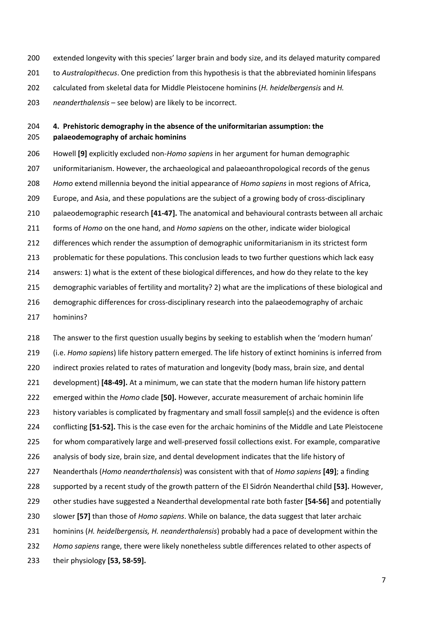- extended longevity with this species' larger brain and body size, and its delayed maturity compared
- to *Australopithecus*. One prediction from this hypothesis is that the abbreviated hominin lifespans
- calculated from skeletal data for Middle Pleistocene hominins (*H. heidelbergensis* and *H.*
- *neanderthalensis* see below) are likely to be incorrect.

## **4. Prehistoric demography in the absence of the uniformitarian assumption: the palaeodemography of archaic hominins**

 Howell **[9]** explicitly excluded non-*Homo sapiens* in her argument for human demographic uniformitarianism. However, the archaeological and palaeoanthropological records of the genus *Homo* extend millennia beyond the initial appearance of *Homo sapiens* in most regions of Africa, Europe, and Asia, and these populations are the subject of a growing body of cross-disciplinary palaeodemographic research **[41-47].** The anatomical and behavioural contrasts between all archaic forms of *Homo* on the one hand, and *Homo sapien*s on the other, indicate wider biological 212 differences which render the assumption of demographic uniformitarianism in its strictest form problematic for these populations. This conclusion leads to two further questions which lack easy answers: 1) what is the extent of these biological differences, and how do they relate to the key demographic variables of fertility and mortality? 2) what are the implications of these biological and demographic differences for cross-disciplinary research into the palaeodemography of archaic

hominins?

 The answer to the first question usually begins by seeking to establish when the 'modern human' (i.e. *Homo sapiens*) life history pattern emerged. The life history of extinct hominins is inferred from indirect proxies related to rates of maturation and longevity (body mass, brain size, and dental development) **[48-49].** At a minimum, we can state that the modern human life history pattern emerged within the *Homo* clade **[50].** However, accurate measurement of archaic hominin life history variables is complicated by fragmentary and small fossil sample(s) and the evidence is often conflicting **[51-52].** This is the case even for the archaic hominins of the Middle and Late Pleistocene for whom comparatively large and well-preserved fossil collections exist. For example, comparative analysis of body size, brain size, and dental development indicates that the life history of Neanderthals (*Homo neanderthalensis*) was consistent with that of *Homo sapiens* **[49]**; a finding supported by a recent study of the growth pattern of the El Sidrón Neanderthal child **[53].** However, other studies have suggested a Neanderthal developmental rate both faster **[54-56]** and potentially slower **[57]** than those of *Homo sapiens*. While on balance, the data suggest that later archaic hominins (*H. heidelbergensis, H. neanderthalensis*) probably had a pace of development within the *Homo sapiens* range, there were likely nonetheless subtle differences related to other aspects of their physiology **[53, 58-59].**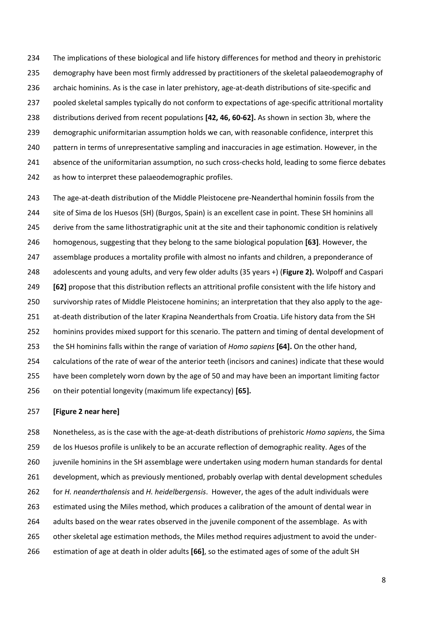The implications of these biological and life history differences for method and theory in prehistoric demography have been most firmly addressed by practitioners of the skeletal palaeodemography of archaic hominins. As is the case in later prehistory, age-at-death distributions of site-specific and pooled skeletal samples typically do not conform to expectations of age-specific attritional mortality distributions derived from recent populations **[42, 46, 60-62].** As shown in section 3b, where the demographic uniformitarian assumption holds we can, with reasonable confidence, interpret this pattern in terms of unrepresentative sampling and inaccuracies in age estimation. However, in the absence of the uniformitarian assumption, no such cross-checks hold, leading to some fierce debates as how to interpret these palaeodemographic profiles.

 The age-at-death distribution of the Middle Pleistocene pre-Neanderthal hominin fossils from the site of Sima de los Huesos (SH) (Burgos, Spain) is an excellent case in point. These SH hominins all 245 derive from the same lithostratigraphic unit at the site and their taphonomic condition is relatively homogenous, suggesting that they belong to the same biological population **[63]**. However, the assemblage produces a mortality profile with almost no infants and children, a preponderance of adolescents and young adults, and very few older adults (35 years +) (**Figure 2).** Wolpoff and Caspari **[62]** propose that this distribution reflects an attritional profile consistent with the life history and survivorship rates of Middle Pleistocene hominins; an interpretation that they also apply to the age- at-death distribution of the later Krapina Neanderthals from Croatia. Life history data from the SH hominins provides mixed support for this scenario. The pattern and timing of dental development of the SH hominins falls within the range of variation of *Homo sapiens* **[64].** On the other hand, calculations of the rate of wear of the anterior teeth (incisors and canines) indicate that these would have been completely worn down by the age of 50 and may have been an important limiting factor on their potential longevity (maximum life expectancy) **[65].**

### **[Figure 2 near here]**

 Nonetheless, as is the case with the age-at-death distributions of prehistoric *Homo sapiens*, the Sima de los Huesos profile is unlikely to be an accurate reflection of demographic reality. Ages of the juvenile hominins in the SH assemblage were undertaken using modern human standards for dental development, which as previously mentioned, probably overlap with dental development schedules for *H. neanderthalensis* and *H. heidelbergensis*. However, the ages of the adult individuals were estimated using the Miles method, which produces a calibration of the amount of dental wear in adults based on the wear rates observed in the juvenile component of the assemblage. As with 265 other skeletal age estimation methods, the Miles method requires adjustment to avoid the under-estimation of age at death in older adults **[66]**, so the estimated ages of some of the adult SH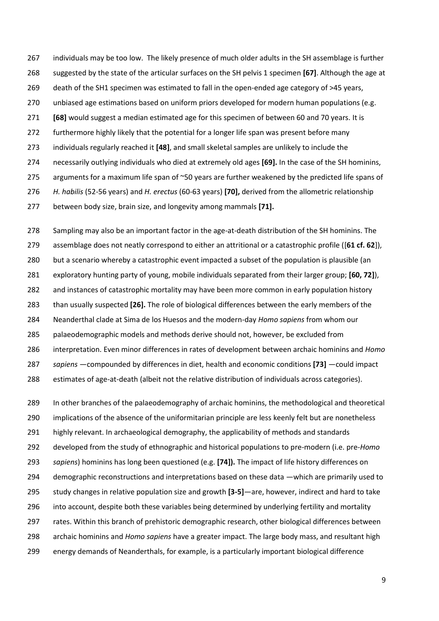- individuals may be too low. The likely presence of much older adults in the SH assemblage is further suggested by the state of the articular surfaces on the SH pelvis 1 specimen **[67]**. Although the age at
- 269 death of the SH1 specimen was estimated to fall in the open-ended age category of >45 years,
- unbiased age estimations based on uniform priors developed for modern human populations (e.g.
- **[68]** would suggest a median estimated age for this specimen of between 60 and 70 years. It is
- furthermore highly likely that the potential for a longer life span was present before many
- individuals regularly reached it **[48]**, and small skeletal samples are unlikely to include the
- necessarily outlying individuals who died at extremely old ages **[69].** In the case of the SH hominins,
- 275 arguments for a maximum life span of ~50 years are further weakened by the predicted life spans of
- *H. habilis* (52-56 years) and *H. erectus* (60-63 years) **[70],** derived from the allometric relationship
- between body size, brain size, and longevity among mammals **[71].**

 Sampling may also be an important factor in the age-at-death distribution of the SH hominins. The assemblage does not neatly correspond to either an attritional or a catastrophic profile ([**61 cf. 62**]), but a scenario whereby a catastrophic event impacted a subset of the population is plausible (an

- exploratory hunting party of young, mobile individuals separated from their larger group; **[60, 72]**),
- and instances of catastrophic mortality may have been more common in early population history
- than usually suspected **[26].** The role of biological differences between the early members of the
- Neanderthal clade at Sima de los Huesos and the modern-day *Homo sapiens* from whom our
- palaeodemographic models and methods derive should not, however, be excluded from
- interpretation. Even minor differences in rates of development between archaic hominins and *Homo*
- *sapiens* —compounded by differences in diet, health and economic conditions **[73]** —could impact
- estimates of age-at-death (albeit not the relative distribution of individuals across categories).

 In other branches of the palaeodemography of archaic hominins, the methodological and theoretical implications of the absence of the uniformitarian principle are less keenly felt but are nonetheless highly relevant. In archaeological demography, the applicability of methods and standards developed from the study of ethnographic and historical populations to pre-modern (i.e. pre-*Homo sapiens*) hominins has long been questioned (e.g. **[74]).** The impact of life history differences on demographic reconstructions and interpretations based on these data —which are primarily used to study changes in relative population size and growth **[3-5]**—are, however, indirect and hard to take into account, despite both these variables being determined by underlying fertility and mortality rates. Within this branch of prehistoric demographic research, other biological differences between archaic hominins and *Homo sapiens* have a greater impact. The large body mass, and resultant high energy demands of Neanderthals, for example, is a particularly important biological difference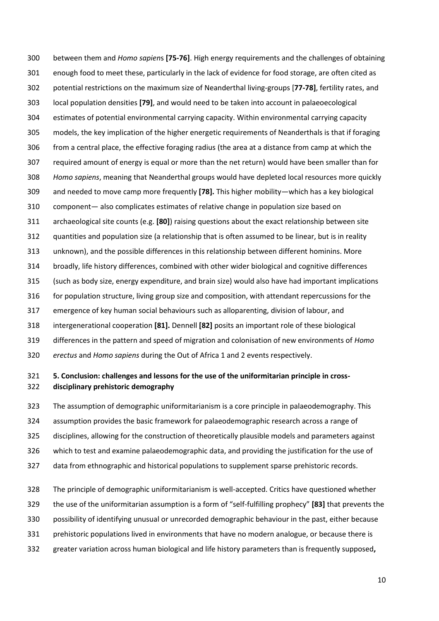between them and *Homo sapien*s **[75-76]**. High energy requirements and the challenges of obtaining enough food to meet these, particularly in the lack of evidence for food storage, are often cited as potential restrictions on the maximum size of Neanderthal living-groups [**77-78]**, fertility rates, and local population densities **[79]**, and would need to be taken into account in palaeoecological estimates of potential environmental carrying capacity. Within environmental carrying capacity models, the key implication of the higher energetic requirements of Neanderthals is that if foraging from a central place, the effective foraging radius (the area at a distance from camp at which the required amount of energy is equal or more than the net return) would have been smaller than for *Homo sapiens*, meaning that Neanderthal groups would have depleted local resources more quickly and needed to move camp more frequently **[78].** This higher mobility—which has a key biological component— also complicates estimates of relative change in population size based on archaeological site counts (e.g. **[80]**) raising questions about the exact relationship between site quantities and population size (a relationship that is often assumed to be linear, but is in reality unknown), and the possible differences in this relationship between different hominins. More broadly, life history differences, combined with other wider biological and cognitive differences (such as body size, energy expenditure, and brain size) would also have had important implications for population structure, living group size and composition, with attendant repercussions for the emergence of key human social behaviours such as alloparenting, division of labour, and intergenerational cooperation **[81].** Dennell **[82]** posits an important role of these biological differences in the pattern and speed of migration and colonisation of new environments of *Homo erectus* and *Homo sapiens* during the Out of Africa 1 and 2 events respectively.

## **5. Conclusion: challenges and lessons for the use of the uniformitarian principle in cross-disciplinary prehistoric demography**

 The assumption of demographic uniformitarianism is a core principle in palaeodemography. This assumption provides the basic framework for palaeodemographic research across a range of disciplines, allowing for the construction of theoretically plausible models and parameters against which to test and examine palaeodemographic data, and providing the justification for the use of data from ethnographic and historical populations to supplement sparse prehistoric records.

 The principle of demographic uniformitarianism is well-accepted. Critics have questioned whether the use of the uniformitarian assumption is a form of "self-fulfilling prophecy" **[83]** that prevents the possibility of identifying unusual or unrecorded demographic behaviour in the past, either because prehistoric populations lived in environments that have no modern analogue, or because there is greater variation across human biological and life history parameters than is frequently supposed**,**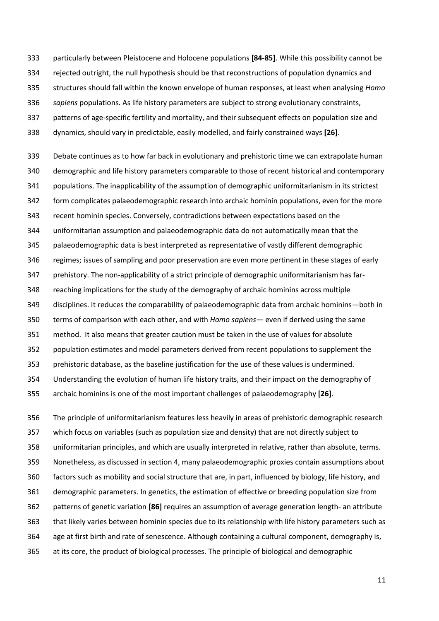particularly between Pleistocene and Holocene populations **[84-85]**. While this possibility cannot be rejected outright, the null hypothesis should be that reconstructions of population dynamics and structures should fall within the known envelope of human responses, at least when analysing *Homo sapiens* populations. As life history parameters are subject to strong evolutionary constraints, patterns of age-specific fertility and mortality, and their subsequent effects on population size and dynamics, should vary in predictable, easily modelled, and fairly constrained ways **[26]**.

 Debate continues as to how far back in evolutionary and prehistoric time we can extrapolate human demographic and life history parameters comparable to those of recent historical and contemporary populations. The inapplicability of the assumption of demographic uniformitarianism in its strictest form complicates palaeodemographic research into archaic hominin populations, even for the more recent hominin species. Conversely, contradictions between expectations based on the uniformitarian assumption and palaeodemographic data do not automatically mean that the palaeodemographic data is best interpreted as representative of vastly different demographic regimes; issues of sampling and poor preservation are even more pertinent in these stages of early prehistory. The non-applicability of a strict principle of demographic uniformitarianism has far- reaching implications for the study of the demography of archaic hominins across multiple disciplines. It reduces the comparability of palaeodemographic data from archaic hominins—both in terms of comparison with each other, and with *Homo sapiens*— even if derived using the same method. It also means that greater caution must be taken in the use of values for absolute population estimates and model parameters derived from recent populations to supplement the prehistoric database, as the baseline justification for the use of these values is undermined. Understanding the evolution of human life history traits, and their impact on the demography of archaic hominins is one of the most important challenges of palaeodemography **[26]**.

 The principle of uniformitarianism features less heavily in areas of prehistoric demographic research which focus on variables (such as population size and density) that are not directly subject to uniformitarian principles, and which are usually interpreted in relative, rather than absolute, terms. Nonetheless, as discussed in section 4, many palaeodemographic proxies contain assumptions about factors such as mobility and social structure that are, in part, influenced by biology, life history, and demographic parameters. In genetics, the estimation of effective or breeding population size from patterns of genetic variation **[86]** requires an assumption of average generation length- an attribute that likely varies between hominin species due to its relationship with life history parameters such as age at first birth and rate of senescence. Although containing a cultural component, demography is, at its core, the product of biological processes. The principle of biological and demographic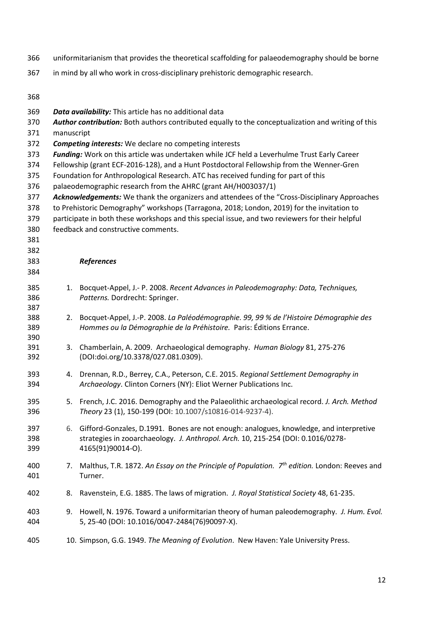- uniformitarianism that provides the theoretical scaffolding for palaeodemography should be borne
- in mind by all who work in cross-disciplinary prehistoric demographic research.

| 368        |                                                                                                                                                                |                                                                                                                                                                                               |  |  |
|------------|----------------------------------------------------------------------------------------------------------------------------------------------------------------|-----------------------------------------------------------------------------------------------------------------------------------------------------------------------------------------------|--|--|
| 369        |                                                                                                                                                                | Data availability: This article has no additional data                                                                                                                                        |  |  |
| 370        | Author contribution: Both authors contributed equally to the conceptualization and writing of this                                                             |                                                                                                                                                                                               |  |  |
| 371        | manuscript                                                                                                                                                     |                                                                                                                                                                                               |  |  |
| 372        |                                                                                                                                                                | <b>Competing interests:</b> We declare no competing interests                                                                                                                                 |  |  |
| 373        | Funding: Work on this article was undertaken while JCF held a Leverhulme Trust Early Career                                                                    |                                                                                                                                                                                               |  |  |
| 374        | Fellowship (grant ECF-2016-128), and a Hunt Postdoctoral Fellowship from the Wenner-Gren                                                                       |                                                                                                                                                                                               |  |  |
| 375        | Foundation for Anthropological Research. ATC has received funding for part of this                                                                             |                                                                                                                                                                                               |  |  |
| 376        | palaeodemographic research from the AHRC (grant AH/H003037/1)<br>Acknowledgements: We thank the organizers and attendees of the "Cross-Disciplinary Approaches |                                                                                                                                                                                               |  |  |
| 377<br>378 |                                                                                                                                                                |                                                                                                                                                                                               |  |  |
| 379        |                                                                                                                                                                | to Prehistoric Demography" workshops (Tarragona, 2018; London, 2019) for the invitation to<br>participate in both these workshops and this special issue, and two reviewers for their helpful |  |  |
| 380        |                                                                                                                                                                | feedback and constructive comments.                                                                                                                                                           |  |  |
| 381        |                                                                                                                                                                |                                                                                                                                                                                               |  |  |
| 382        |                                                                                                                                                                |                                                                                                                                                                                               |  |  |
| 383        |                                                                                                                                                                | References                                                                                                                                                                                    |  |  |
| 384        |                                                                                                                                                                |                                                                                                                                                                                               |  |  |
| 385        | 1.                                                                                                                                                             | Bocquet-Appel, J.- P. 2008. Recent Advances in Paleodemography: Data, Techniques,                                                                                                             |  |  |
| 386        |                                                                                                                                                                | Patterns. Dordrecht: Springer.                                                                                                                                                                |  |  |
| 387        |                                                                                                                                                                |                                                                                                                                                                                               |  |  |
| 388<br>389 | 2.                                                                                                                                                             | Bocquet-Appel, J.-P. 2008. La Paléodémographie. 99, 99 % de l'Histoire Démographie des<br>Hommes ou la Démographie de la Préhistoire. Paris: Éditions Errance.                                |  |  |
| 390        |                                                                                                                                                                |                                                                                                                                                                                               |  |  |
| 391        | 3.                                                                                                                                                             | Chamberlain, A. 2009. Archaeological demography. Human Biology 81, 275-276                                                                                                                    |  |  |
| 392        |                                                                                                                                                                | (DOI:doi.org/10.3378/027.081.0309).                                                                                                                                                           |  |  |
| 393        | 4.                                                                                                                                                             | Drennan, R.D., Berrey, C.A., Peterson, C.E. 2015. Regional Settlement Demography in                                                                                                           |  |  |
| 394        |                                                                                                                                                                | Archaeology. Clinton Corners (NY): Eliot Werner Publications Inc.                                                                                                                             |  |  |
| 395        | 5.                                                                                                                                                             | French, J.C. 2016. Demography and the Palaeolithic archaeological record. J. Arch. Method                                                                                                     |  |  |
| 396        |                                                                                                                                                                | Theory 23 (1), 150-199 (DOI: 10.1007/s10816-014-9237-4).                                                                                                                                      |  |  |
| 397        | 6.                                                                                                                                                             | Gifford-Gonzales, D.1991. Bones are not enough: analogues, knowledge, and interpretive                                                                                                        |  |  |
| 398        |                                                                                                                                                                | strategies in zooarchaeology. J. Anthropol. Arch. 10, 215-254 (DOI: 0.1016/0278-                                                                                                              |  |  |
| 399        |                                                                                                                                                                | 4165(91)90014-0).                                                                                                                                                                             |  |  |
| 400        | 7.                                                                                                                                                             | Malthus, T.R. 1872. An Essay on the Principle of Population. $7th$ edition. London: Reeves and                                                                                                |  |  |
| 401        |                                                                                                                                                                | Turner.                                                                                                                                                                                       |  |  |
| 402        | 8.                                                                                                                                                             | Ravenstein, E.G. 1885. The laws of migration. J. Royal Statistical Society 48, 61-235.                                                                                                        |  |  |
| 403<br>404 | 9.                                                                                                                                                             | Howell, N. 1976. Toward a uniformitarian theory of human paleodemography. J. Hum. Evol.<br>5, 25-40 (DOI: 10.1016/0047-2484(76)90097-X).                                                      |  |  |
| 405        |                                                                                                                                                                | 10. Simpson, G.G. 1949. The Meaning of Evolution. New Haven: Yale University Press.                                                                                                           |  |  |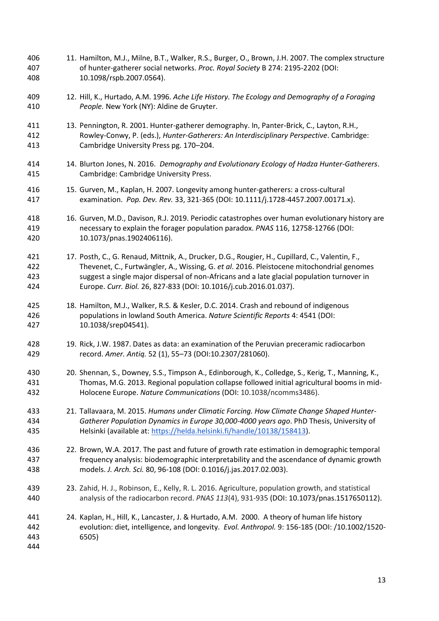11. Hamilton, M.J., Milne, B.T., Walker, R.S., Burger, O., Brown, J.H. 2007. The complex structure of hunter-gatherer social networks. *Proc. Royal Society* B 274: 2195-2202 (DOI: [10.1098/rspb.2007.0564\)](https://doi.org/10.1098/rspb.2007.0564). 12. Hill, K., Hurtado, A.M. 1996. *Ache Life History. The Ecology and Demography of a Foraging People.* New York (NY): Aldine de Gruyter. 13. Pennington, R. 2001. Hunter-gatherer demography. In, Panter-Brick, C., Layton, R.H., Rowley-Conwy, P. (eds.), *Hunter-Gatherers: An Interdisciplinary Perspective*. Cambridge: Cambridge University Press pg. 170–204. 14. Blurton Jones, N. 2016. *Demography and Evolutionary Ecology of Hadza Hunter-Gatherers*. Cambridge: Cambridge University Press. 15. Gurven, M., Kaplan, H. 2007. Longevity among hunter-gatherers: a cross-cultural examination. *Pop. Dev. Rev.* 33, 321-365 (DOI[: 10.1111/j.1728-4457.2007.00171.x\)](https://doi.org/10.1111/j.1728-4457.2007.00171.x). 16. Gurven, M.D., Davison, R.J. 2019. Periodic catastrophes over human evolutionary history are necessary to explain the forager population paradox. *PNAS* 116, 12758-12766 (DOI: [10.1073/pnas.1902406116\)](https://doi.org/10.1073/pnas.1902406116). 17. Posth, C., G. Renaud, Mittnik, A., Drucker, D.G., Rougier, H., Cupillard, C., Valentin, F., Thevenet, C., Furtwängler, A., Wissing, G. *et al*. 2016. Pleistocene mitochondrial genomes suggest a single major dispersal of non-Africans and a late glacial population turnover in Europe. *Curr. Biol.* 26, 827-833 (DOI[: 10.1016/j.cub.2016.01.037\)](https://doi.org/10.1016/j.cub.2016.01.037). 18. Hamilton, M.J., Walker, R.S. & Kesler, D.C. 2014. Crash and rebound of indigenous populations in lowland South America. *Nature Scientific Reports* 4: 4541 (DOI: 10.1038/srep04541). 19. Rick, J.W. 1987. Dates as data: an examination of the Peruvian preceramic radiocarbon record. *Amer. Antiq.* 52 (1), 55–73 (DOI:10.2307/281060). 20. Shennan, S., Downey, S.S., Timpson A., Edinborough, K., Colledge, S., Kerig, T., Manning, K., Thomas, M.G. 2013. Regional population collapse followed initial agricultural booms in mid- Holocene Europe. *Nature Communications* (DOI: 10.1038/ncomms3486). 21. Tallavaara, M. 2015. *Humans under Climatic Forcing. How Climate Change Shaped Hunter- Gatherer Population Dynamics in Europe 30,000-4000 years ago*. PhD Thesis, University of Helsinki (available at: https://helda.helsinki.fi/handle/10138/158413). 22. Brown, W.A. 2017. The past and future of growth rate estimation in demographic temporal frequency analysis: biodemographic interpretability and the ascendance of dynamic growth models. *J. Arch. Sci.* 80, 96-108 (DOI[: 0.1016/j.jas.2017.02.003\)](https://doi.org/10.1016/j.jas.2017.02.003). 23. Zahid, H. J., Robinson, E., Kelly, R. L. 2016. Agriculture, population growth, and statistical analysis of the radiocarbon record. *PNAS 113*(4), 931-935 (DOI[: 10.1073/pnas.1517650112\)](https://doi.org/10.1073/pnas.1517650112). 24. Kaplan, H., Hill, K., Lancaster, J. & Hurtado, A.M. 2000. A theory of human life history evolution: diet, intelligence, and longevity. *Evol. Anthropol.* 9: 156-185 [\(DOI: /10.1002/1520-](https://doi.org/10.1002/1520-6505(2000)9:4%3C156::AID-EVAN5%3E3.0.CO;2-7) [6505\)](https://doi.org/10.1002/1520-6505(2000)9:4%3C156::AID-EVAN5%3E3.0.CO;2-7)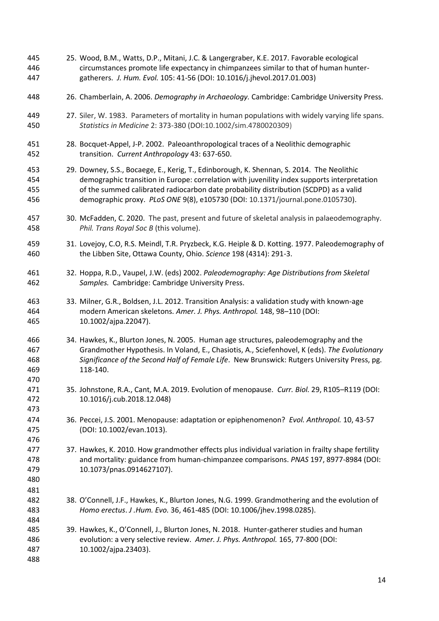25. Wood, B.M., Watts, D.P., Mitani, J.C. & Langergraber, K.E. 2017. Favorable ecological circumstances promote life expectancy in chimpanzees similar to that of human hunter- gatherers. *J. Hum. Evol.* 105: 41-56 (DOI: 10.1016/j.jhevol.2017.01.003) 26. Chamberlain, A. 2006. *Demography in Archaeology.* Cambridge: Cambridge University Press. 27. Siler, W. 1983. Parameters of mortality in human populations with widely varying life spans. *Statistics in Medicine* 2: 373-380 (DOI[:10.1002/sim.4780020309\)](https://doi.org/10.1002/sim.4780020309) 28. Bocquet-Appel, J-P. 2002. Paleoanthropological traces of a Neolithic demographic transition. *Current Anthropology* 43: 637-650. 29. Downey, S.S., Bocaege, E., Kerig, T., Edinborough, K. Shennan, S. 2014. The Neolithic demographic transition in Europe: correlation with juvenility index supports interpretation of the summed calibrated radiocarbon date probability distribution (SCDPD) as a valid demographic proxy. *PLoS ONE* 9(8), e105730 (DOI: [10.1371/journal.pone.0105730\)](https://doi.org/10.1371/journal.pone.0105730). 30. McFadden, C. 2020. The past, present and future of skeletal analysis in palaeodemography. *Phil. Trans Royal Soc B* (this volume). 31. Lovejoy, C.O, R.S. Meindl, T.R. Pryzbeck, K.G. Heiple & D. Kotting. 1977. Paleodemography of the Libben Site, Ottawa County, Ohio. *Science* 198 (4314): 291-3. 32. Hoppa, R.D., Vaupel, J.W. (eds) 2002. *Paleodemography: Age Distributions from Skeletal Samples.* Cambridge: Cambridge University Press. 33. Milner, G.R., Boldsen, J.L. 2012. Transition Analysis: a validation study with known-age modern American skeletons. *Amer. J. Phys. Anthropol.* 148, 98–110 (DOI: 10.1002/ajpa.22047). 34. Hawkes, K., Blurton Jones, N. 2005. Human age structures, paleodemography and the Grandmother Hypothesis. In Voland, E., Chasiotis, A., Sciefenhovel, K (eds). *The Evolutionary Significance of the Second Half of Female Life*. New Brunswick: Rutgers University Press, pg. 118-140. 35. Johnstone, R.A., Cant, M.A. 2019. Evolution of menopause. *Curr. Biol.* 29, R105–R119 (DOI: 10.1016/j.cub.2018.12.048) 36. Peccei, J.S. 2001. Menopause: adaptation or epiphenomenon? *Evol. Anthropol.* 10, 43-57 (DOI[: 10.1002/evan.1013\)](https://doi.org/10.1002/evan.1013). 37. Hawkes, K. 2010. How grandmother effects plus individual variation in frailty shape fertility and mortality: guidance from human-chimpanzee comparisons. *PNAS* 197, 8977-8984 (DOI: [10.1073/pnas.0914627107\)](https://doi.org/10.1073/pnas.0914627107). 38. O'Connell, J.F., Hawkes, K., Blurton Jones, N.G. 1999. Grandmothering and the evolution of *Homo erectus*. *J .Hum. Evo.* 36, 461-485 (DOI: [10.1006/jhev.1998.0285\)](https://doi.org/10.1006/jhev.1998.0285). 39. Hawkes, K., O'Connell, J., Blurton Jones, N. 2018. Hunter-gatherer studies and human evolution: a very selective review. *Amer. J. Phys. Anthropol.* 165, 77-800 (DOI: [10.1002/ajpa.23403\)](https://doi.org/10.1002/ajpa.23403).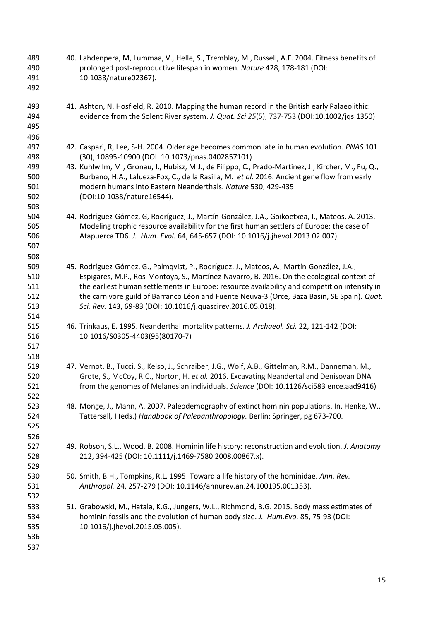- 40. Lahdenpera, M, Lummaa, V., Helle, S., Tremblay, M., Russell, A.F. 2004. Fitness benefits of prolonged post-reproductive lifespan in women. *Nature* 428, 178-181 (DOI: [10.1038/nature02367\)](https://doi.org/10.1038/nature02367).
- 41. Ashton, N. Hosfield, R. 2010. Mapping the human record in the British early Palaeolithic: evidence from the Solent River system. *J. Quat. Sci 25*(5), 737-753 (DOI[:10.1002/jqs.1350\)](https://doi.org/10.1002/jqs.1350)
- 42. Caspari, R, Lee, S-H. 2004. Older age becomes common late in human evolution. *PNAS* 101 (30), 10895-10900 (DOI: [10.1073/pnas.0402857101\)](https://doi.org/10.1073/pnas.0402857101)
- 43. Kuhlwilm, M., Gronau, I., Hubisz, M.J., de Filippo, C., Prado-Martinez, J., Kircher, M., Fu, Q., Burbano, H.A., Lalueza-Fox, C., de la Rasilla, M. *et al*. 2016. Ancient gene flow from early modern humans into Eastern Neanderthals. *Nature* 530, 429-435 (DOI[:10.1038/nature16544\)](https://doi.org/10.1038/nature16544).
- 44. Rodríguez-Gómez, G, Rodríguez, J., Martín-González, J.A., Goikoetxea, I., Mateos, A. 2013. Modeling trophic resource availability for the first human settlers of Europe: the case of Atapuerca TD6. *J. Hum. Evol.* 64, 645-657 (DOI: [10.1016/j.jhevol.2013.02.007\)](https://doi.org/10.1016/j.jhevol.2013.02.007).
- 45. Rodríguez-Gómez, G., Palmqvist, P., Rodríguez, J., Mateos, A., Martín-González, J.A., Espigares, M.P., Ros-Montoya, S., Martínez-Navarro, B. 2016. On the ecological context of the earliest human settlements in Europe: resource availability and competition intensity in the carnivore guild of Barranco Léon and Fuente Neuva-3 (Orce, Baza Basin, SE Spain). *Quat. Sci. Rev.* 143, 69-83 (DOI[: 10.1016/j.quascirev.2016.05.018\)](https://doi.org/10.1016/j.quascirev.2016.05.018).
- 46. Trinkaus, E. 1995. Neanderthal mortality patterns. *J. Archaeol. Sci.* 22, 121-142 (DOI: [10.1016/S0305-4403\(95\)80170-7\)](https://doi.org/10.1016/S0305-4403(95)80170-7)
- 47. Vernot, B., Tucci, S., Kelso, J., Schraiber, J.G., Wolf, A.B., Gittelman, R.M., Danneman, M., Grote, S., McCoy, R.C., Norton, H. *et al.* 2016. Excavating Neandertal and Denisovan DNA from the genomes of Melanesian individuals. *Science* (DOI: 10.1126/sci583 ence.aad9416)
- 48. Monge, J., Mann, A. 2007. Paleodemography of extinct hominin populations. In, Henke, W., Tattersall, I (eds.) *Handbook of Paleoanthropology.* Berlin: Springer, pg 673-700.
- 49. Robson, S.L., Wood, B. 2008. Hominin life history: reconstruction and evolution. *J. Anatomy*  212, 394-425 (DOI: 10.1111/j.1469-7580.2008.00867.x).
- 50. Smith, B.H., Tompkins, R.L. 1995. Toward a life history of the hominidae. *Ann. Rev. Anthropol.* 24, 257-279 (DOI: 10.1146/annurev.an.24.100195.001353).
- 51. Grabowski, M., Hatala, K.G., Jungers, W.L., Richmond, B.G. 2015. Body mass estimates of hominin fossils and the evolution of human body size. *J. Hum.Evo.* 85, 75-93 (DOI: [10.1016/j.jhevol.2015.05.005\)](https://doi.org/10.1016/j.jhevol.2015.05.005).
-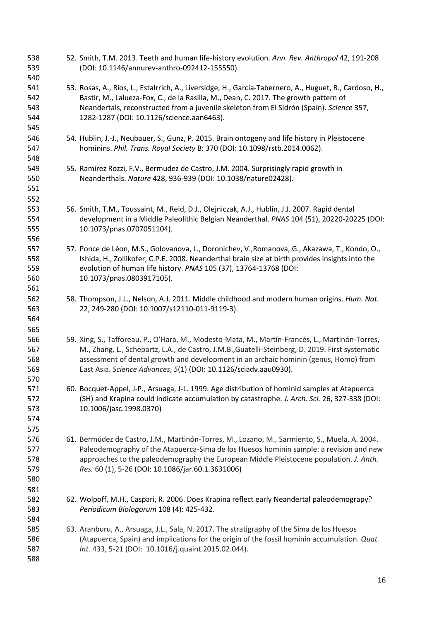52. Smith, T.M. 2013. Teeth and human life-history evolution. *Ann. Rev. Anthropol* 42, 191-208 (DOI: 10.1146/annurev-anthro-092412-155550). 53. Rosas, A., Ríos, L., Estalrrich, A., Liversidge, H., García-Tabernero, A., Huguet, R., Cardoso, H., Bastir, M., Lalueza-Fox, C., de la Rasilla, M., Dean, C. 2017. The growth pattern of Neandertals, reconstructed from a juvenile skeleton from El Sidrón (Spain). *Science* 357, 1282-1287 (DOI: 10.1126/science.aan6463). 54. Hublin, J.-J., Neubauer, S., Gunz, P. 2015. Brain ontogeny and life history in Pleistocene hominins. *Phil. Trans. Royal Society* B: 370 (DOI[: 10.1098/rstb.2014.0062\)](https://doi.org/10.1098/rstb.2014.0062). 55. Ramirez Rozzi, F.V., Bermudez de Castro, J.M. 2004. Surprisingly rapid growth in Neanderthals. *Nature* 428, 936-939 (DOI: [10.1038/nature02428\)](https://doi.org/10.1038/nature02428). 56. Smith, T.M., Toussaint, M., Reid, D.J., Olejniczak, A.J., Hublin, J.J. 2007. Rapid dental development in a Middle Paleolithic Belgian Neanderthal. *PNAS* 104 (51), 20220-20225 (DOI: [10.1073/pnas.0707051104\)](https://doi.org/10.1073/pnas.0707051104). 57. Ponce de Léon, M.S., Golovanova, L., Doronichev, V.,Romanova, G., Akazawa, T., Kondo, O., Ishida, H., Zollikofer, C.P.E. 2008. Neanderthal brain size at birth provides insights into the evolution of human life history. *PNAS* 105 (37), 13764-13768 (DOI: [10.1073/pnas.0803917105\)](https://doi.org/10.1073/pnas.0803917105). 58. Thompson, J.L., Nelson, A.J. 2011. Middle childhood and modern human origins. *Hum. Nat.*  22, 249-280 (DOI: [10.1007/s12110-011-9119-3\)](https://doi.org/10.1007/s12110-011-9119-3). 59. Xing, S., Tafforeau, P., O'Hara, M., Modesto-Mata, M., Martín-Francés, L., Martinón-Torres, M., Zhang, L., Schepartz, L.A., de Castro, J.M.B.,Guatelli-Steinberg, D. 2019. First systematic assessment of dental growth and development in an archaic hominin (genus, Homo) from East Asia. *Science Advances*, *5*(1) (DOI: 10.1126/sciadv.aau0930). 60. Bocquet-Appel, J-P., Arsuaga, J-L. 1999. Age distribution of hominid samples at Atapuerca (SH) and Krapina could indicate accumulation by catastrophe. *J. Arch. Sci.* 26, 327-338 (DOI: [10.1006/jasc.1998.0370\)](https://doi.org/10.1006/jasc.1998.0370) 61. Bermúdez de Castro, J.M., Martinón-Torres, M., Lozano, M., Sarmiento, S., Muela, A. 2004. Paleodemography of the Atapuerca-Sima de los Huesos hominin sample: a revision and new approaches to the paleodemography the European Middle Pleistocene population. *J. Anth. Res.* 60 (1), 5-26 (DOI: [10.1086/jar.60.1.3631006\)](https://doi.org/10.1086/jar.60.1.3631006) 62. Wolpoff, M.H., Caspari, R. 2006. Does Krapina reflect early Neandertal paleodemograpy? *Periodicum Biologorum* 108 (4): 425-432. 63. Aranburu, A., Arsuaga, J.L., Sala, N. 2017. The stratigraphy of the Sima de los Huesos (Atapuerca, Spain) and implications for the origin of the fossil hominin accumulation. *Quat. Int.* 433, 5-21 (DOI: 10.1016/j.quaint.2015.02.044).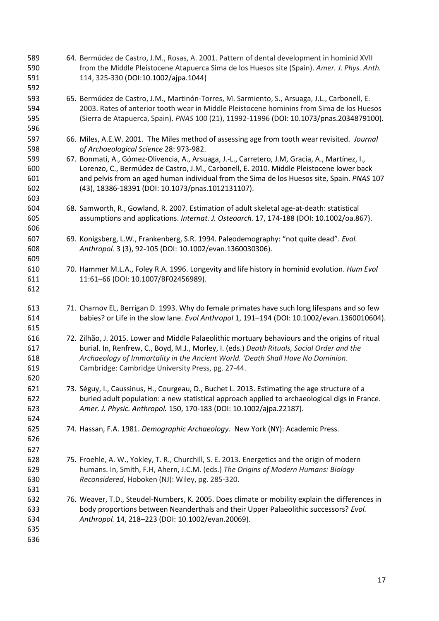64. Bermúdez de Castro, J.M., Rosas, A. 2001. Pattern of dental development in hominid XVII from the Middle Pleistocene Atapuerca Sima de los Huesos site (Spain). *Amer. J. Phys. Anth.* 114, 325-330 (DOI[:10.1002/ajpa.1044\)](https://doi.org/10.1002/ajpa.1044) 65. Bermúdez de Castro, J.M., Martinón-Torres, M. Sarmiento, S., Arsuaga, J.L., Carbonell, E. 2003. Rates of anterior tooth wear in Middle Pleistocene hominins from Sima de los Huesos (Sierra de Atapuerca, Spain). *PNAS* 100 (21), 11992-11996 (DOI: [10.1073/pnas.2034879100\)](https://doi.org/10.1073/pnas.2034879100). 66. Miles, A.E.W. 2001. The Miles method of assessing age from tooth wear revisited. *Journal of Archaeological Science* 28: 973-982. 67. Bonmati, A., Gómez-Olivencia, A., Arsuaga, J.-L., Carretero, J.M, Gracia, A., Martínez, I., Lorenzo, C., Bermúdez de Castro, J.M., Carbonell, E. 2010. Middle Pleistocene lower back and pelvis from an aged human individual from the Sima de los Huesos site, Spain. *PNAS* 107 (43), 18386-18391 (DOI: [10.1073/pnas.1012131107\)](https://doi.org/10.1073/pnas.1012131107). 68. Samworth, R., Gowland, R. 2007. Estimation of adult skeletal age-at-death: statistical assumptions and applications. *Internat. J. Osteoarch.* 17, 174-188 (DOI[: 10.1002/oa.867\)](https://doi.org/10.1002/oa.867). 69. Konigsberg, L.W., Frankenberg, S.R. 1994. Paleodemography: "not quite dead". *Evol. Anthropol.* 3 (3), 92-105 (DOI[: 10.1002/evan.1360030306\)](https://doi.org/10.1002/evan.1360030306). 70. Hammer M.L.A., Foley R.A. 1996. Longevity and life history in hominid evolution. *Hum Evol*  11:61–66 (DOI: [10.1007/BF02456989\)](https://doi.org/10.1007/BF02456989). 71. Charnov EL, Berrigan D. 1993. Why do female primates have such long lifespans and so few babies? or Life in the slow lane. *Evol Anthropol* 1, 191–194 (DOI[: 10.1002/evan.1360010604\)](https://doi.org/10.1002/evan.1360010604). 72. Zilhão, J. 2015. Lower and Middle Palaeolithic mortuary behaviours and the origins of ritual burial. In, Renfrew, C., Boyd, M.J., Morley, I. (eds.) *Death Rituals, Social Order and the Archaeology of Immortality in the Ancient World. 'Death Shall Have No Dominion*. Cambridge: Cambridge University Press, pg. 27-44. 73. Séguy, I., Caussinus, H., Courgeau, D., Buchet L. 2013. Estimating the age structure of a buried adult population: a new statistical approach applied to archaeological digs in France. *Amer. J. Physic. Anthropol.* 150, 170-183 (DOI[: 10.1002/ajpa.22187\)](https://doi.org/10.1002/ajpa.22187). 74. Hassan, F.A. 1981. *Demographic Archaeology*. New York (NY): Academic Press. 75. Froehle, A. W., Yokley, T. R., Churchill, S. E. 2013. Energetics and the origin of modern humans. In, Smith, F.H, Ahern, J.C.M. (eds.) *The Origins of Modern Humans: Biology Reconsidered*, Hoboken (NJ): Wiley, pg. 285-320. 76. Weaver, T.D., Steudel-Numbers, K. 2005. Does climate or mobility explain the differences in body proportions between Neanderthals and their Upper Palaeolithic successors? *Evol. Anthropol.* 14, 218–223 (DOI: [10.1002/evan.20069\)](https://doi.org/10.1002/evan.20069).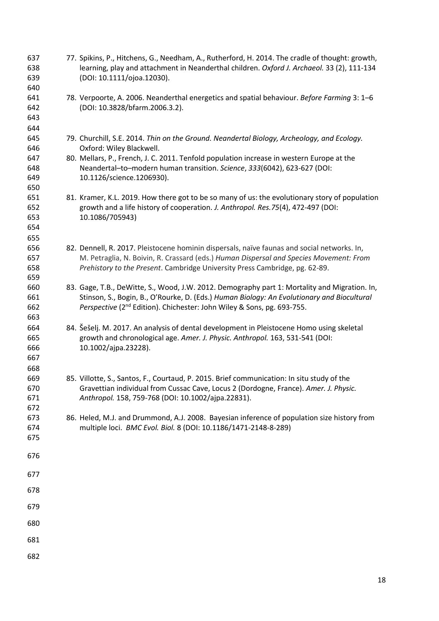77. Spikins, P., Hitchens, G., Needham, A., Rutherford, H. 2014. The cradle of thought: growth, learning, play and attachment in Neanderthal children. *Oxford J. Archaeol.* 33 (2), 111-134 (DOI[: 10.1111/ojoa.12030\)](https://doi.org/10.1111/ojoa.12030). 78. Verpoorte, A. 2006. Neanderthal energetics and spatial behaviour. *Before Farming* 3: 1–6 (DOI[: 10.3828/bfarm.2006.3.2\)](https://www.researchgate.net/deref/http%3A%2F%2Fdx.doi.org%2F10.3828%2Fbfarm.2006.3.2?_sg%5B0%5D=qEysCw3v9qIejUEC6iJiByvwvBSF7vvbvwFcKE72AneQ-YvrR__4ylmEJsUm_sw4ix45RqV5_0vnVg9MCdxqZYukmQ.8U-aSzZFjfoKZ4folsU_Z2exyIG6pzw0koWo0MmPjuzFH76s8ZMHkeWKJ4wZbISHikAKUiS4e0e8jGY9S_DTFg). 79. Churchill, S.E. 2014. *Thin on the Ground. Neandertal Biology, Archeology, and Ecology.* Oxford: Wiley Blackwell. 80. Mellars, P., French, J. C. 2011. Tenfold population increase in western Europe at the Neandertal–to–modern human transition. *Science*, *333*(6042), 623-627 (DOI: 10.1126/science.1206930). 81. Kramer, K.L. 2019. How there got to be so many of us: the evolutionary story of population growth and a life history of cooperation. *J. Anthropol. Res.75*(4), 472-497 (DOI: 10.1086/705943) 82. Dennell, R. 2017. Pleistocene hominin dispersals, naïve faunas and social networks. In, M. Petraglia, N. Boivin, R. Crassard (eds.) *Human Dispersal and Species Movement: From Prehistory to the Present*. Cambridge University Press Cambridge, pg. 62-89. 83. Gage, T.B., DeWitte, S., Wood, J.W. 2012. Demography part 1: Mortality and Migration. In, Stinson, S., Bogin, B., O'Rourke, D. (Eds.) *Human Biology: An Evolutionary and Biocultural Ferspective* (2<sup>nd</sup> Edition). Chichester: John Wiley & Sons, pg. 693-755. 84. Šešelj. M. 2017. An analysis of dental development in Pleistocene Homo using skeletal growth and chronological age. *Amer. J. Physic. Anthropol.* 163, 531-541 (DOI: [10.1002/ajpa.23228\)](https://doi.org/10.1002/ajpa.23228). 85. Villotte, S., Santos, F., Courtaud, P. 2015. Brief communication: In situ study of the Gravettian individual from Cussac Cave, Locus 2 (Dordogne, France). *Amer. J. Physic. Anthropol.* 158, 759-768 (DOI[: 10.1002/ajpa.22831\)](https://doi.org/10.1002/ajpa.22831). 86. Heled, M.J. and Drummond, A.J. 2008. Bayesian inference of population size history from multiple loci. *BMC Evol. Biol.* 8 (DOI: 10.1186/1471-2148-8-289)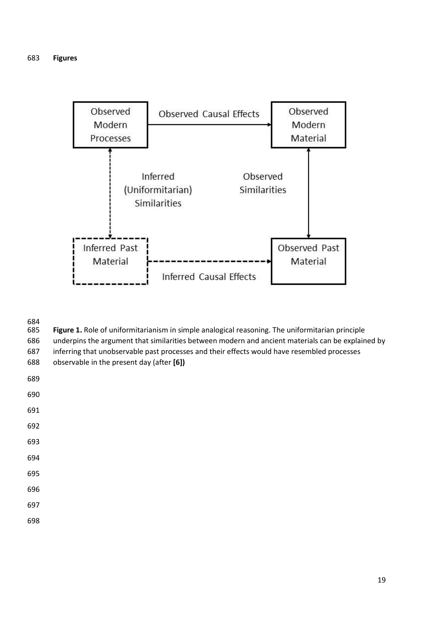

684<br>685

Figure 1. Role of uniformitarianism in simple analogical reasoning. The uniformitarian principle underpins the argument that similarities between modern and ancient materials can be explained by

inferring that unobservable past processes and their effects would have resembled processes

observable in the present day (after **[6])**

| ۰<br>۰.<br>I<br>۰.<br>$\sim$<br>e e<br>I<br>×<br>۰.<br>×<br>۰,<br>v<br>× | I<br>i<br>۰.<br>v |
|--------------------------------------------------------------------------|-------------------|
|--------------------------------------------------------------------------|-------------------|

- 
- 
- 
- 
- 
- 
- 
- 
- 
-